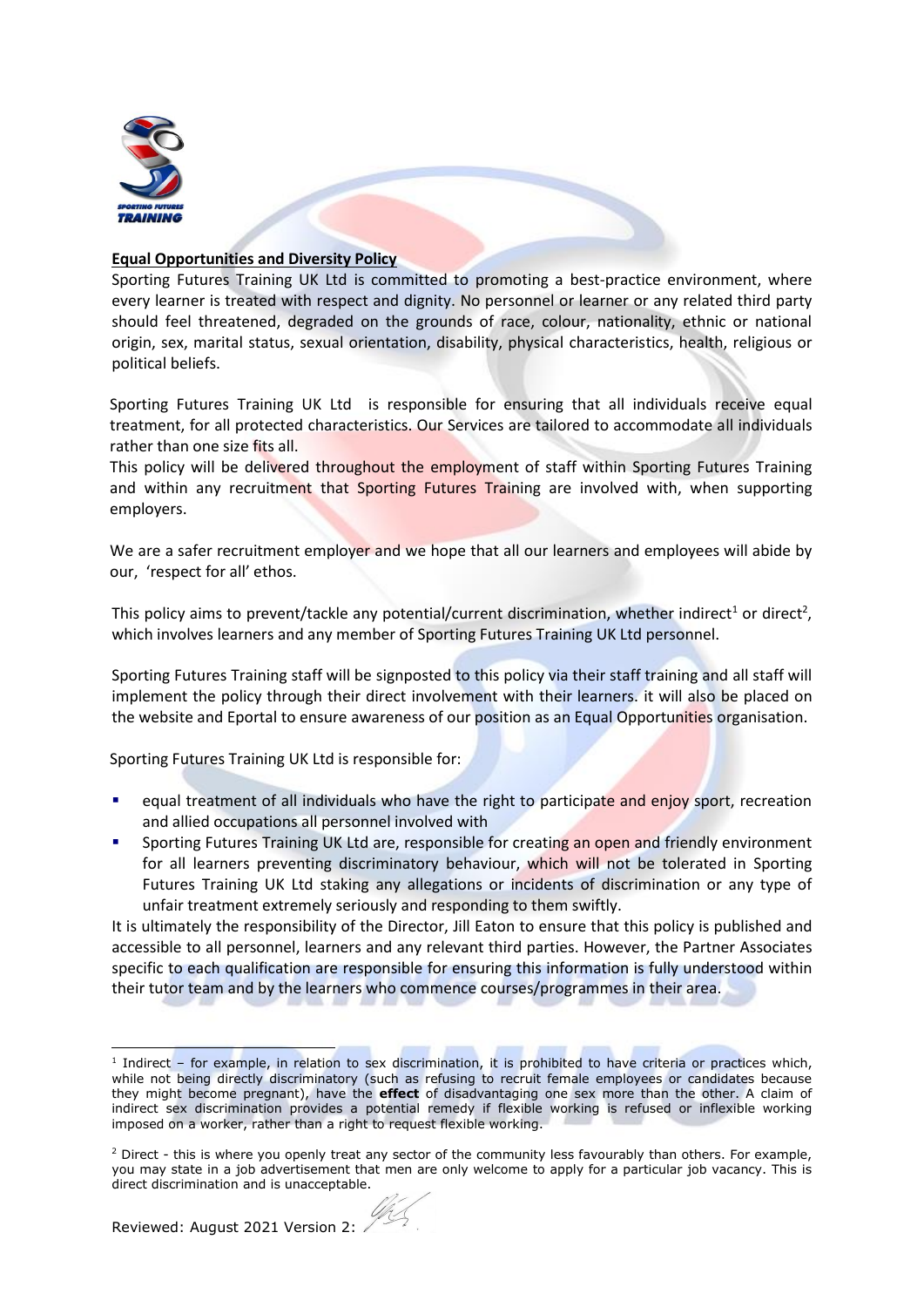

## **Equal Opportunities and Diversity Policy**

Sporting Futures Training UK Ltd is committed to promoting a best-practice environment, where every learner is treated with respect and dignity. No personnel or learner or any related third party should feel threatened, degraded on the grounds of race, colour, nationality, ethnic or national origin, sex, marital status, sexual orientation, disability, physical characteristics, health, religious or political beliefs.

Sporting Futures Training UK Ltd is responsible for ensuring that all individuals receive equal treatment, for all protected characteristics. Our Services are tailored to accommodate all individuals rather than one size fits all.

This policy will be delivered throughout the employment of staff within Sporting Futures Training and within any recruitment that Sporting Futures Training are involved with, when supporting employers.

We are a safer recruitment employer and we hope that all our learners and employees will abide by our, 'respect for all' ethos.

This policy aims to prevent/tackle any potential/current discrimination, whether indirect<sup>1</sup> or direct<sup>2</sup>, which involves learners and any member of Sporting Futures Training UK Ltd personnel.

Sporting Futures Training staff will be signposted to this policy via their staff training and all staff will implement the policy through their direct involvement with their learners. it will also be placed on the website and Eportal to ensure awareness of our position as an Equal Opportunities organisation.

Sporting Futures Training UK Ltd is responsible for:

- equal treatment of all individuals who have the right to participate and enjoy sport, recreation and allied occupations all personnel involved with
- Sporting Futures Training UK Ltd are, responsible for creating an open and friendly environment for all learners preventing discriminatory behaviour, which will not be tolerated in Sporting Futures Training UK Ltd staking any allegations or incidents of discrimination or any type of unfair treatment extremely seriously and responding to them swiftly.

It is ultimately the responsibility of the Director, Jill Eaton to ensure that this policy is published and accessible to all personnel, learners and any relevant third parties. However, the Partner Associates specific to each qualification are responsible for ensuring this information is fully understood within their tutor team and by the learners who commence courses/programmes in their area.

<sup>&</sup>lt;sup>1</sup> Indirect – for example, in relation to sex discrimination, it is prohibited to have criteria or practices which, while not being directly discriminatory (such as refusing to recruit female employees or candidates because they might become pregnant), have the **effect** of disadvantaging one sex more than the other. A claim of indirect sex discrimination provides a potential remedy if flexible working is refused or inflexible working imposed on a worker, rather than a right to request flexible working.

 $2$  Direct - this is where you openly treat any sector of the community less favourably than others. For example, you may state in a job advertisement that men are only welcome to apply for a particular job vacancy. This is direct discrimination and is unacceptable.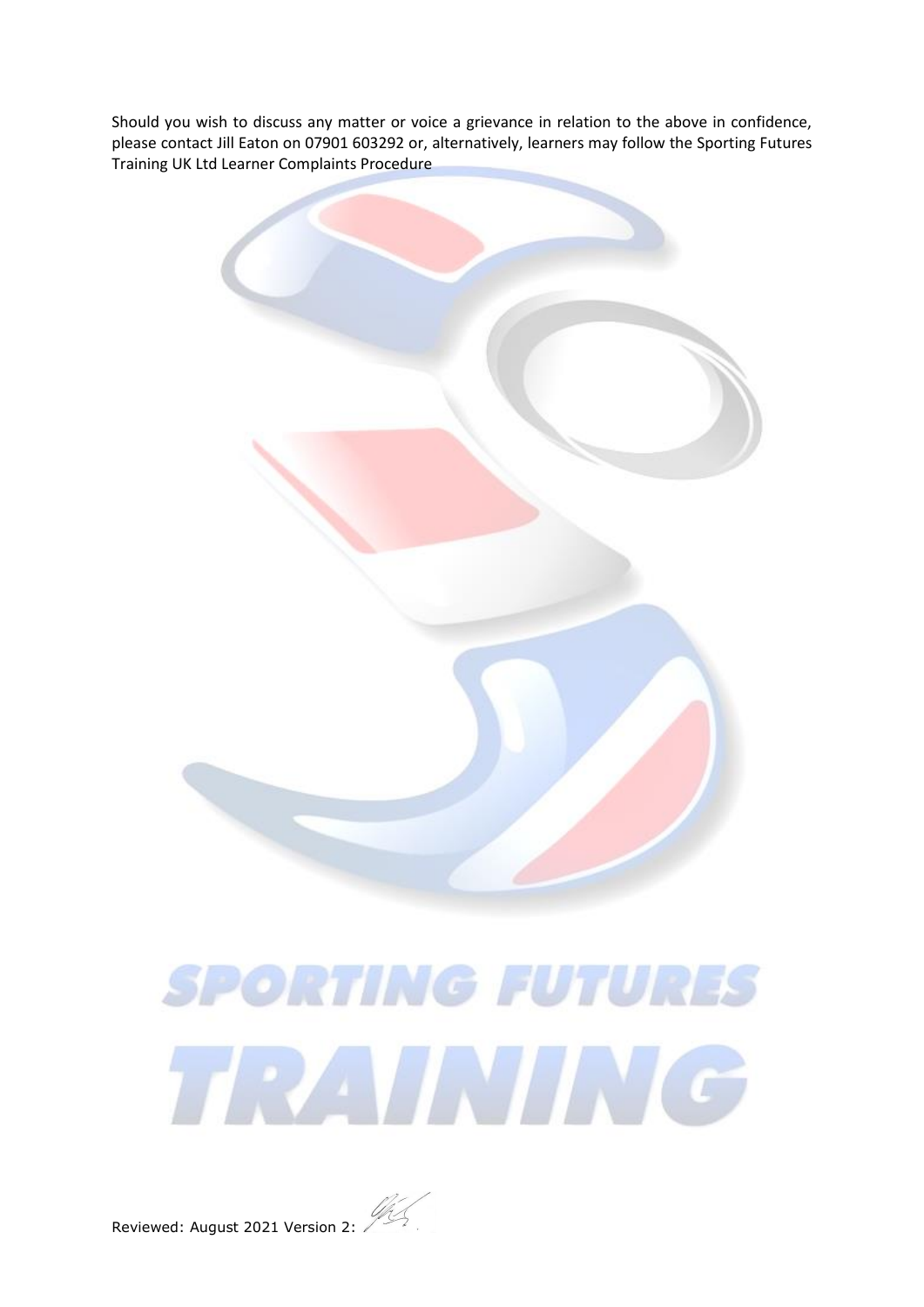Should you wish to discuss any matter or voice a grievance in relation to the above in confidence, please contact Jill Eaton on 07901 603292 or, alternatively, learners may follow the Sporting Futures Training UK Ltd Learner Complaints Procedure



## **SPORTING FUTURES** TRAINING

Reviewed: August 2021 Version 2: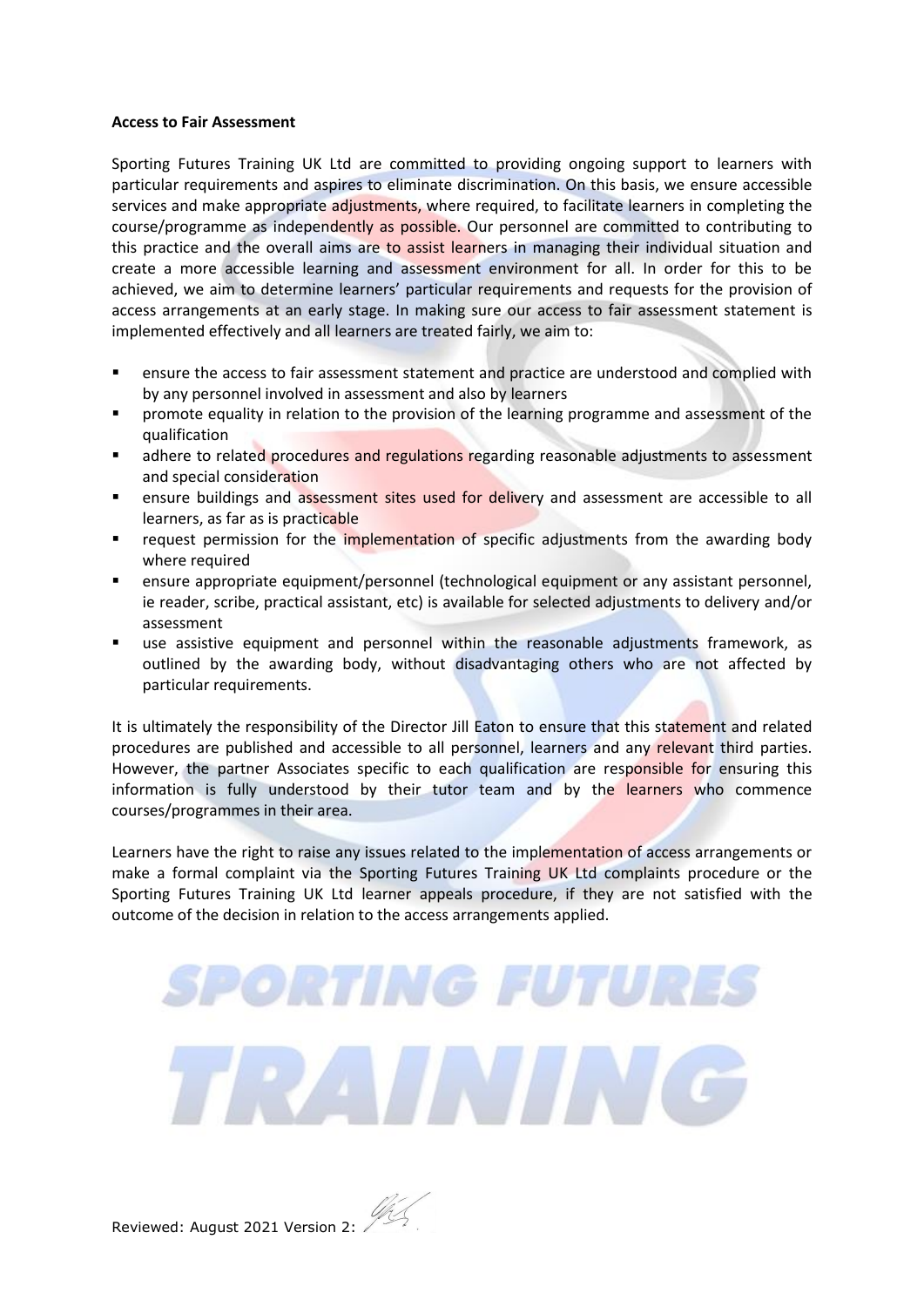## **Access to Fair Assessment**

Sporting Futures Training UK Ltd are committed to providing ongoing support to learners with particular requirements and aspires to eliminate discrimination. On this basis, we ensure accessible services and make appropriate adjustments, where required, to facilitate learners in completing the course/programme as independently as possible. Our personnel are committed to contributing to this practice and the overall aims are to assist learners in managing their individual situation and create a more accessible learning and assessment environment for all. In order for this to be achieved, we aim to determine learners' particular requirements and requests for the provision of access arrangements at an early stage. In making sure our access to fair assessment statement is implemented effectively and all learners are treated fairly, we aim to:

- ensure the access to fair assessment statement and practice are understood and complied with by any personnel involved in assessment and also by learners
- promote equality in relation to the provision of the learning programme and assessment of the qualification
- **■** adhere to related procedures and regulations regarding reasonable adjustments to assessment and special consideration
- ensure buildings and assessment sites used for delivery and assessment are accessible to all learners, as far as is practicable
- request permission for the implementation of specific adjustments from the awarding body where required
- ensure appropriate equipment/personnel (technological equipment or any assistant personnel, ie reader, scribe, practical assistant, etc) is available for selected adjustments to delivery and/or assessment
- use assistive equipment and personnel within the reasonable adjustments framework, as outlined by the awarding body, without disadvantaging others who are not affected by particular requirements.

It is ultimately the responsibility of the Director Jill Eaton to ensure that this statement and related procedures are published and accessible to all personnel, learners and any relevant third parties. However, the partner Associates specific to each qualification are responsible for ensuring this information is fully understood by their tutor team and by the learners who commence courses/programmes in their area.

Learners have the right to raise any issues related to the implementation of access arrangements or make a formal complaint via the Sporting Futures Training UK Ltd complaints procedure or the Sporting Futures Training UK Ltd learner appeals procedure, if they are not satisfied with the outcome of the decision in relation to the access arrangements applied.